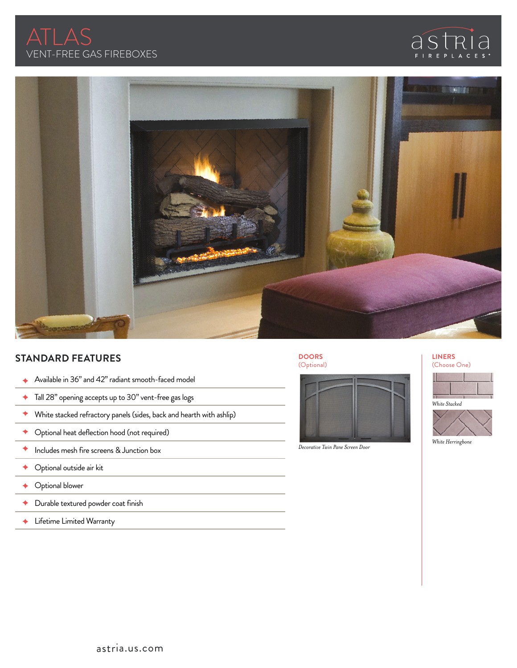





# **STANDARD FEATURES**

- ◆ Available in 36" and 42" radiant smooth-faced model
- ◆ Tall 28" opening accepts up to 30" vent-free gas logs
- $\blacklozenge$  White stacked refractory panels (sides, back and hearth with ashlip)
- Optional heat deflection hood (not required) ٠
- ◆ Includes mesh fire screens & Junction box
- ◆ Optional outside air kit
- Optional blower
- ٠ Durable textured powder coat finish
- Lifetime Limited Warranty

## **DOORS** (Optional)



*Decorative Twin Pane Screen Door*

### **LINERS** (Choose One)



*White Stacked*



*White Herringbone*